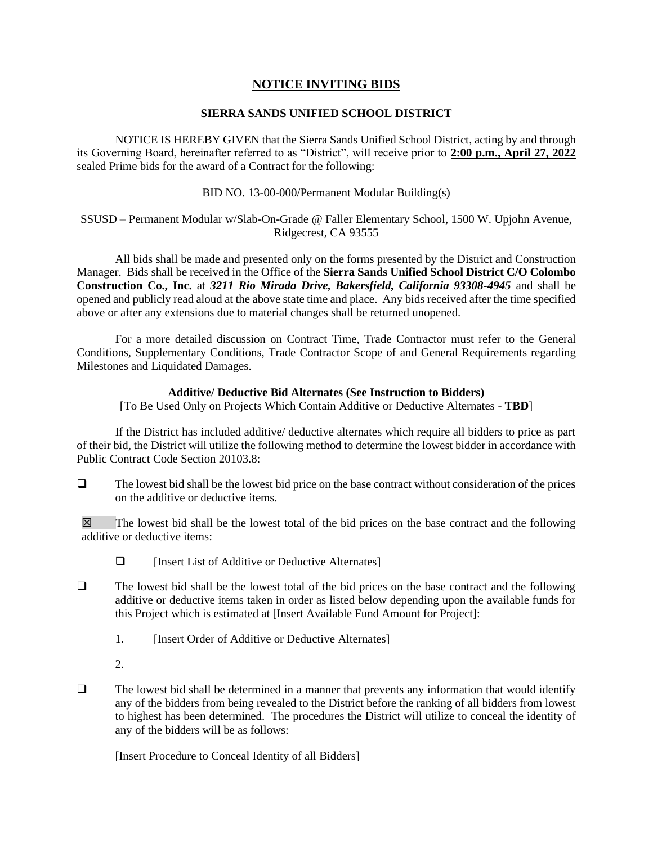## **NOTICE INVITING BIDS**

## **SIERRA SANDS UNIFIED SCHOOL DISTRICT**

NOTICE IS HEREBY GIVEN that the Sierra Sands Unified School District, acting by and through its Governing Board, hereinafter referred to as "District", will receive prior to **2:00 p.m., April 27, 2022** sealed Prime bids for the award of a Contract for the following:

BID NO. 13-00-000/Permanent Modular Building(s)

SSUSD – Permanent Modular w/Slab-On-Grade @ Faller Elementary School, 1500 W. Upjohn Avenue, Ridgecrest, CA 93555

All bids shall be made and presented only on the forms presented by the District and Construction Manager. Bids shall be received in the Office of the **Sierra Sands Unified School District C/O Colombo Construction Co., Inc.** at *3211 Rio Mirada Drive, Bakersfield, California 93308-4945* and shall be opened and publicly read aloud at the above state time and place. Any bids received after the time specified above or after any extensions due to material changes shall be returned unopened.

For a more detailed discussion on Contract Time, Trade Contractor must refer to the General Conditions, Supplementary Conditions, Trade Contractor Scope of and General Requirements regarding Milestones and Liquidated Damages.

## **Additive/ Deductive Bid Alternates (See Instruction to Bidders)**

[To Be Used Only on Projects Which Contain Additive or Deductive Alternates - **TBD**]

If the District has included additive/ deductive alternates which require all bidders to price as part of their bid, the District will utilize the following method to determine the lowest bidder in accordance with Public Contract Code Section 20103.8:

 $\Box$  The lowest bid shall be the lowest bid price on the base contract without consideration of the prices on the additive or deductive items.

 $\boxtimes$  The lowest bid shall be the lowest total of the bid prices on the base contract and the following additive or deductive items:

❑ [Insert List of Additive or Deductive Alternates]

- ❑ The lowest bid shall be the lowest total of the bid prices on the base contract and the following additive or deductive items taken in order as listed below depending upon the available funds for this Project which is estimated at [Insert Available Fund Amount for Project]:
	- 1. [Insert Order of Additive or Deductive Alternates]
	- 2.
- ❑ The lowest bid shall be determined in a manner that prevents any information that would identify any of the bidders from being revealed to the District before the ranking of all bidders from lowest to highest has been determined. The procedures the District will utilize to conceal the identity of any of the bidders will be as follows:

[Insert Procedure to Conceal Identity of all Bidders]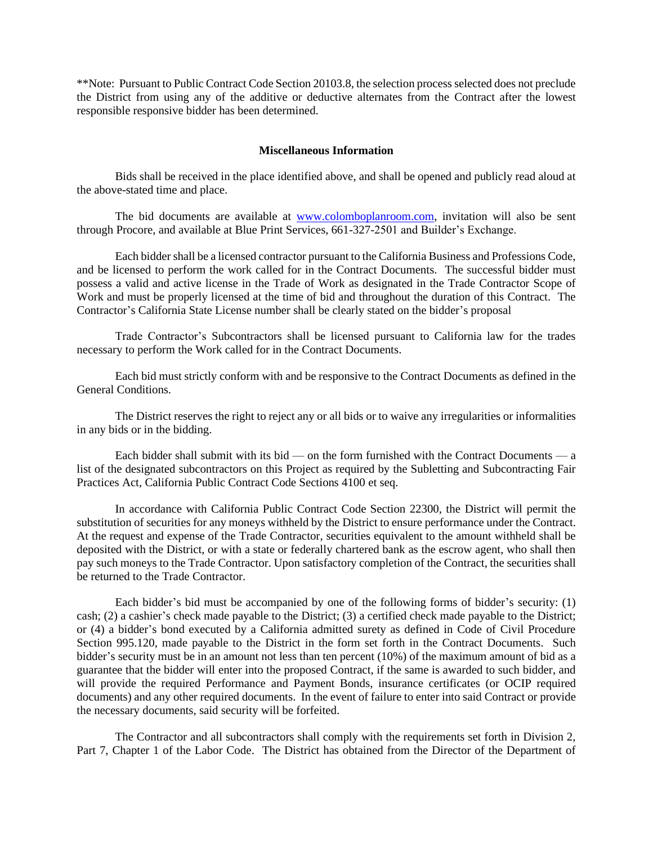\*\*Note: Pursuant to Public Contract Code Section 20103.8, the selection process selected does not preclude the District from using any of the additive or deductive alternates from the Contract after the lowest responsible responsive bidder has been determined.

## **Miscellaneous Information**

Bids shall be received in the place identified above, and shall be opened and publicly read aloud at the above-stated time and place.

The bid documents are available at [www.colomboplanroom.com,](http://www.colomboplanroom.com/) invitation will also be sent through Procore, and available at Blue Print Services, 661-327-2501 and Builder's Exchange.

Each bidder shall be a licensed contractor pursuant to the California Business and Professions Code, and be licensed to perform the work called for in the Contract Documents. The successful bidder must possess a valid and active license in the Trade of Work as designated in the Trade Contractor Scope of Work and must be properly licensed at the time of bid and throughout the duration of this Contract. The Contractor's California State License number shall be clearly stated on the bidder's proposal

Trade Contractor's Subcontractors shall be licensed pursuant to California law for the trades necessary to perform the Work called for in the Contract Documents.

Each bid must strictly conform with and be responsive to the Contract Documents as defined in the General Conditions.

The District reserves the right to reject any or all bids or to waive any irregularities or informalities in any bids or in the bidding.

Each bidder shall submit with its bid — on the form furnished with the Contract Documents — a list of the designated subcontractors on this Project as required by the Subletting and Subcontracting Fair Practices Act, California Public Contract Code Sections 4100 et seq.

In accordance with California Public Contract Code Section 22300, the District will permit the substitution of securities for any moneys withheld by the District to ensure performance under the Contract. At the request and expense of the Trade Contractor, securities equivalent to the amount withheld shall be deposited with the District, or with a state or federally chartered bank as the escrow agent, who shall then pay such moneys to the Trade Contractor. Upon satisfactory completion of the Contract, the securities shall be returned to the Trade Contractor.

Each bidder's bid must be accompanied by one of the following forms of bidder's security: (1) cash; (2) a cashier's check made payable to the District; (3) a certified check made payable to the District; or (4) a bidder's bond executed by a California admitted surety as defined in Code of Civil Procedure Section 995.120, made payable to the District in the form set forth in the Contract Documents. Such bidder's security must be in an amount not less than ten percent (10%) of the maximum amount of bid as a guarantee that the bidder will enter into the proposed Contract, if the same is awarded to such bidder, and will provide the required Performance and Payment Bonds, insurance certificates (or OCIP required documents) and any other required documents. In the event of failure to enter into said Contract or provide the necessary documents, said security will be forfeited.

The Contractor and all subcontractors shall comply with the requirements set forth in Division 2, Part 7, Chapter 1 of the Labor Code. The District has obtained from the Director of the Department of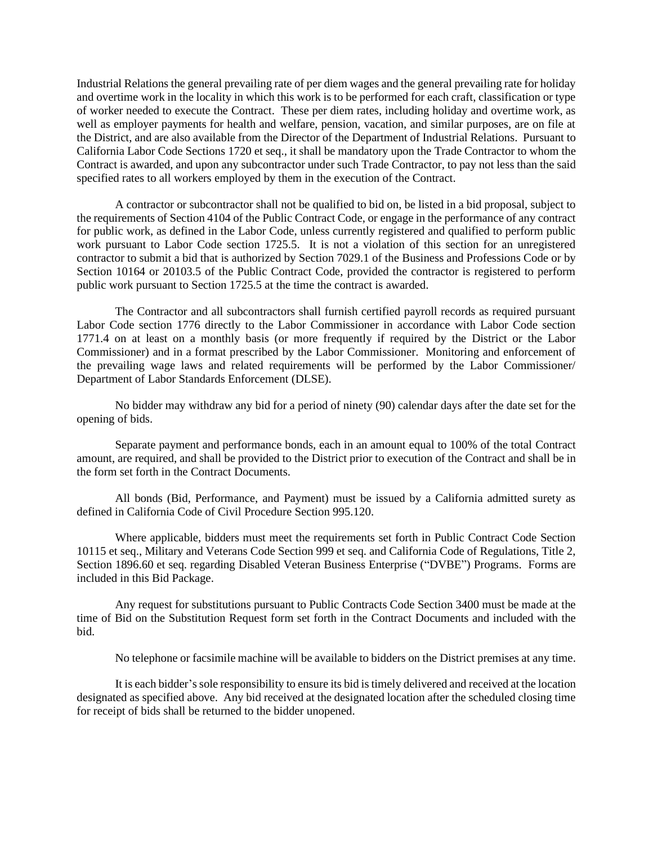Industrial Relations the general prevailing rate of per diem wages and the general prevailing rate for holiday and overtime work in the locality in which this work is to be performed for each craft, classification or type of worker needed to execute the Contract. These per diem rates, including holiday and overtime work, as well as employer payments for health and welfare, pension, vacation, and similar purposes, are on file at the District, and are also available from the Director of the Department of Industrial Relations. Pursuant to California Labor Code Sections 1720 et seq., it shall be mandatory upon the Trade Contractor to whom the Contract is awarded, and upon any subcontractor under such Trade Contractor, to pay not less than the said specified rates to all workers employed by them in the execution of the Contract.

A contractor or subcontractor shall not be qualified to bid on, be listed in a bid proposal, subject to the requirements of Section 4104 of the Public Contract Code, or engage in the performance of any contract for public work, as defined in the Labor Code, unless currently registered and qualified to perform public work pursuant to Labor Code section 1725.5. It is not a violation of this section for an unregistered contractor to submit a bid that is authorized by Section 7029.1 of the Business and Professions Code or by Section 10164 or 20103.5 of the Public Contract Code, provided the contractor is registered to perform public work pursuant to Section 1725.5 at the time the contract is awarded.

The Contractor and all subcontractors shall furnish certified payroll records as required pursuant Labor Code section 1776 directly to the Labor Commissioner in accordance with Labor Code section 1771.4 on at least on a monthly basis (or more frequently if required by the District or the Labor Commissioner) and in a format prescribed by the Labor Commissioner. Monitoring and enforcement of the prevailing wage laws and related requirements will be performed by the Labor Commissioner/ Department of Labor Standards Enforcement (DLSE).

No bidder may withdraw any bid for a period of ninety (90) calendar days after the date set for the opening of bids.

Separate payment and performance bonds, each in an amount equal to 100% of the total Contract amount, are required, and shall be provided to the District prior to execution of the Contract and shall be in the form set forth in the Contract Documents.

All bonds (Bid, Performance, and Payment) must be issued by a California admitted surety as defined in California Code of Civil Procedure Section 995.120.

Where applicable, bidders must meet the requirements set forth in Public Contract Code Section 10115 et seq., Military and Veterans Code Section 999 et seq. and California Code of Regulations, Title 2, Section 1896.60 et seq. regarding Disabled Veteran Business Enterprise ("DVBE") Programs. Forms are included in this Bid Package.

Any request for substitutions pursuant to Public Contracts Code Section 3400 must be made at the time of Bid on the Substitution Request form set forth in the Contract Documents and included with the bid.

No telephone or facsimile machine will be available to bidders on the District premises at any time.

It is each bidder's sole responsibility to ensure its bid is timely delivered and received at the location designated as specified above. Any bid received at the designated location after the scheduled closing time for receipt of bids shall be returned to the bidder unopened.